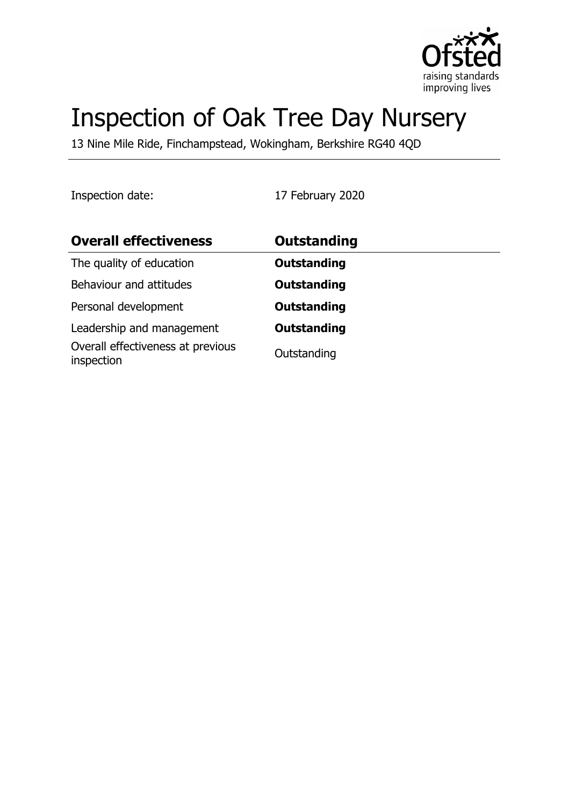

# Inspection of Oak Tree Day Nursery

13 Nine Mile Ride, Finchampstead, Wokingham, Berkshire RG40 4QD

Inspection date: 17 February 2020

| <b>Overall effectiveness</b>                    | Outstanding        |
|-------------------------------------------------|--------------------|
| The quality of education                        | <b>Outstanding</b> |
| Behaviour and attitudes                         | <b>Outstanding</b> |
| Personal development                            | <b>Outstanding</b> |
| Leadership and management                       | <b>Outstanding</b> |
| Overall effectiveness at previous<br>inspection | Outstanding        |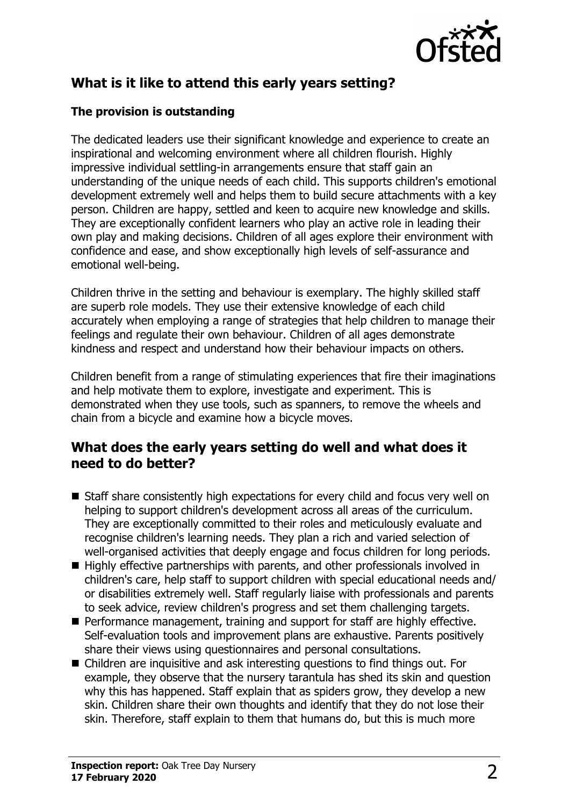

## **What is it like to attend this early years setting?**

#### **The provision is outstanding**

The dedicated leaders use their significant knowledge and experience to create an inspirational and welcoming environment where all children flourish. Highly impressive individual settling-in arrangements ensure that staff gain an understanding of the unique needs of each child. This supports children's emotional development extremely well and helps them to build secure attachments with a key person. Children are happy, settled and keen to acquire new knowledge and skills. They are exceptionally confident learners who play an active role in leading their own play and making decisions. Children of all ages explore their environment with confidence and ease, and show exceptionally high levels of self-assurance and emotional well-being.

Children thrive in the setting and behaviour is exemplary. The highly skilled staff are superb role models. They use their extensive knowledge of each child accurately when employing a range of strategies that help children to manage their feelings and regulate their own behaviour. Children of all ages demonstrate kindness and respect and understand how their behaviour impacts on others.

Children benefit from a range of stimulating experiences that fire their imaginations and help motivate them to explore, investigate and experiment. This is demonstrated when they use tools, such as spanners, to remove the wheels and chain from a bicycle and examine how a bicycle moves.

#### **What does the early years setting do well and what does it need to do better?**

- $\blacksquare$  Staff share consistently high expectations for every child and focus very well on helping to support children's development across all areas of the curriculum. They are exceptionally committed to their roles and meticulously evaluate and recognise children's learning needs. They plan a rich and varied selection of well-organised activities that deeply engage and focus children for long periods.
- $\blacksquare$  Highly effective partnerships with parents, and other professionals involved in children's care, help staff to support children with special educational needs and/ or disabilities extremely well. Staff regularly liaise with professionals and parents to seek advice, review children's progress and set them challenging targets.
- $\blacksquare$  Performance management, training and support for staff are highly effective. Self-evaluation tools and improvement plans are exhaustive. Parents positively share their views using questionnaires and personal consultations.
- $\blacksquare$  Children are inquisitive and ask interesting questions to find things out. For example, they observe that the nursery tarantula has shed its skin and question why this has happened. Staff explain that as spiders grow, they develop a new skin. Children share their own thoughts and identify that they do not lose their skin. Therefore, staff explain to them that humans do, but this is much more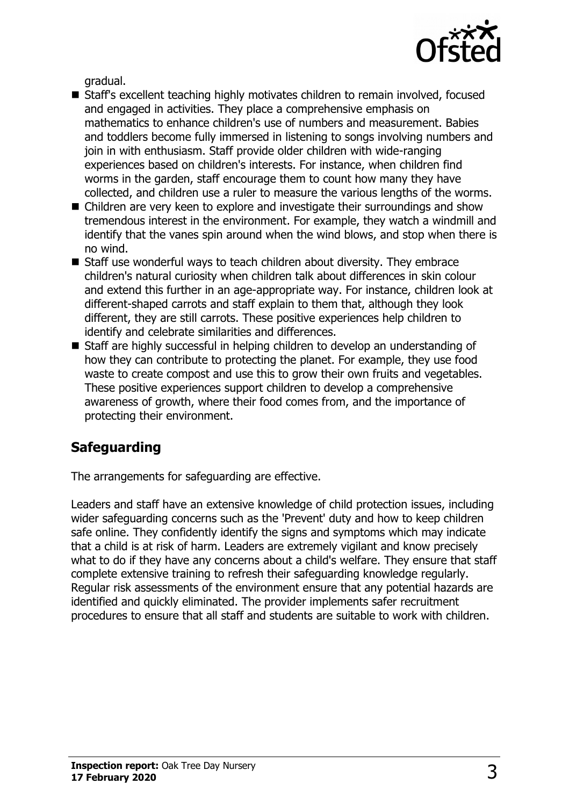

gradual.

- Staff's excellent teaching highly motivates children to remain involved, focused and engaged in activities. They place a comprehensive emphasis on mathematics to enhance children's use of numbers and measurement. Babies and toddlers become fully immersed in listening to songs involving numbers and join in with enthusiasm. Staff provide older children with wide-ranging experiences based on children's interests. For instance, when children find worms in the garden, staff encourage them to count how many they have collected, and children use a ruler to measure the various lengths of the worms.
- $\blacksquare$  Children are very keen to explore and investigate their surroundings and show tremendous interest in the environment. For example, they watch a windmill and identify that the vanes spin around when the wind blows, and stop when there is no wind.
- $\blacksquare$  Staff use wonderful ways to teach children about diversity. They embrace children's natural curiosity when children talk about differences in skin colour and extend this further in an age-appropriate way. For instance, children look at different-shaped carrots and staff explain to them that, although they look different, they are still carrots. These positive experiences help children to identify and celebrate similarities and differences.
- Staff are highly successful in helping children to develop an understanding of how they can contribute to protecting the planet. For example, they use food waste to create compost and use this to grow their own fruits and vegetables. These positive experiences support children to develop a comprehensive awareness of growth, where their food comes from, and the importance of protecting their environment.

## **Safeguarding**

The arrangements for safeguarding are effective.

Leaders and staff have an extensive knowledge of child protection issues, including wider safeguarding concerns such as the 'Prevent' duty and how to keep children safe online. They confidently identify the signs and symptoms which may indicate that a child is at risk of harm. Leaders are extremely vigilant and know precisely what to do if they have any concerns about a child's welfare. They ensure that staff complete extensive training to refresh their safeguarding knowledge regularly. Regular risk assessments of the environment ensure that any potential hazards are identified and quickly eliminated. The provider implements safer recruitment procedures to ensure that all staff and students are suitable to work with children.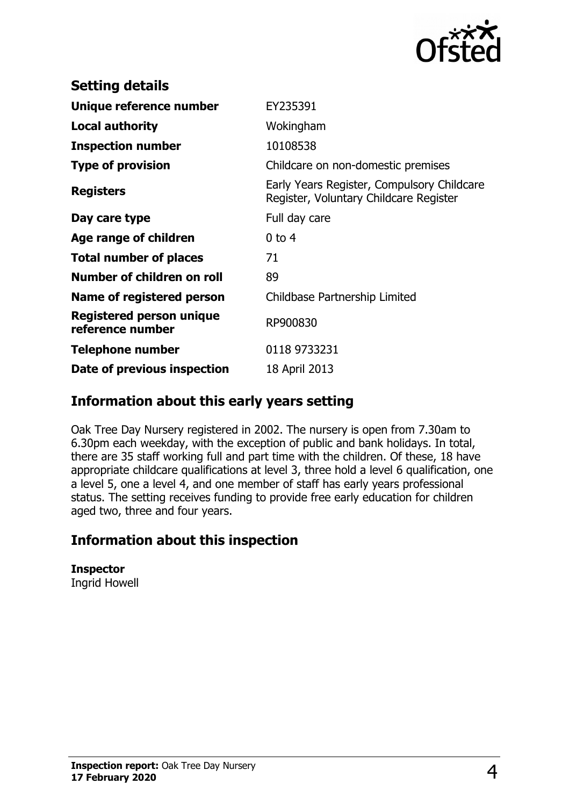

| <b>Setting details</b>                       |                                                                                      |
|----------------------------------------------|--------------------------------------------------------------------------------------|
| Unique reference number                      | EY235391                                                                             |
| <b>Local authority</b>                       | Wokingham                                                                            |
| <b>Inspection number</b>                     | 10108538                                                                             |
| <b>Type of provision</b>                     | Childcare on non-domestic premises                                                   |
| <b>Registers</b>                             | Early Years Register, Compulsory Childcare<br>Register, Voluntary Childcare Register |
| Day care type                                | Full day care                                                                        |
| Age range of children                        | $0$ to 4                                                                             |
| <b>Total number of places</b>                | 71                                                                                   |
| Number of children on roll                   | 89                                                                                   |
| Name of registered person                    | Childbase Partnership Limited                                                        |
| Registered person unique<br>reference number | RP900830                                                                             |
| Telephone number                             | 0118 9733231                                                                         |
| Date of previous inspection                  | 18 April 2013                                                                        |

### **Information about this early years setting**

Oak Tree Day Nursery registered in 2002. The nursery is open from 7.30am to 6.30pm each weekday, with the exception of public and bank holidays. In total, there are 35 staff working full and part time with the children. Of these, 18 have appropriate childcare qualifications at level 3, three hold a level 6 qualification, one a level 5, one a level 4, and one member of staff has early years professional status. The setting receives funding to provide free early education for children aged two, three and four years.

## **Information about this inspection**

**Inspector** Ingrid Howell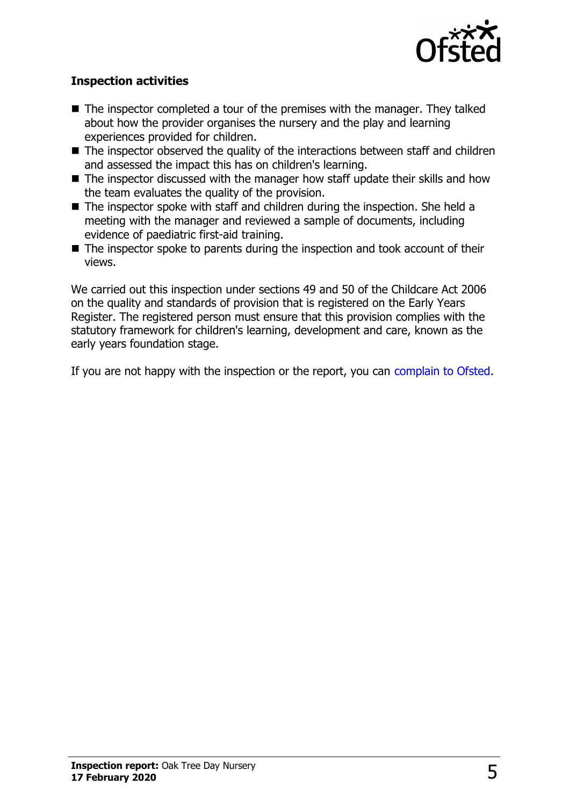

#### **Inspection activities**

- $\blacksquare$  The inspector completed a tour of the premises with the manager. They talked about how the provider organises the nursery and the play and learning experiences provided for children.
- $\blacksquare$  The inspector observed the quality of the interactions between staff and children and assessed the impact this has on children's learning.
- $\blacksquare$  The inspector discussed with the manager how staff update their skills and how the team evaluates the quality of the provision.
- $\blacksquare$  The inspector spoke with staff and children during the inspection. She held a meeting with the manager and reviewed a sample of documents, including evidence of paediatric first-aid training.
- $\blacksquare$  The inspector spoke to parents during the inspection and took account of their views.

We carried out this inspection under sections 49 and 50 of the Childcare Act 2006 on the quality and standards of provision that is registered on the Early Years Register. The registered person must ensure that this provision complies with the statutory framework for children's learning, development and care, known as the early years foundation stage.

If you are not happy with the inspection or the report, you can [complain to Ofsted.](http://www.gov.uk/complain-ofsted-report)